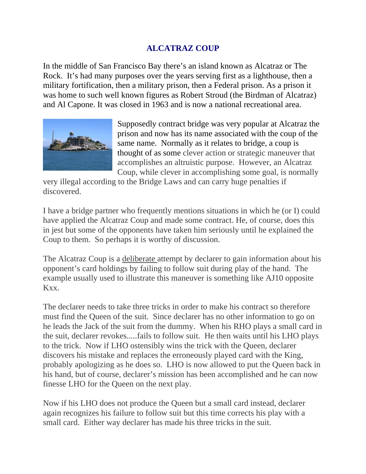## **ALCATRAZ COUP**

In the middle of San Francisco Bay there's an island known as Alcatraz or The Rock. It's had many purposes over the years serving first as a lighthouse, then a military fortification, then a military prison, then a Federal prison. As a prison it was home to such well known figures as Robert Stroud (the Birdman of Alcatraz) and Al Capone. It was closed in 1963 and is now a national recreational area.



Supposedly contract bridge was very popular at Alcatraz the prison and now has its name associated with the coup of the same name. Normally as it relates to bridge, a coup is thought of as some clever action or strategic maneuver that accomplishes an altruistic purpose. However, an Alcatraz Coup, while clever in accomplishing some goal, is normally

very illegal according to the Bridge Laws and can carry huge penalties if discovered.

I have a bridge partner who frequently mentions situations in which he (or I) could have applied the Alcatraz Coup and made some contract. He, of course, does this in jest but some of the opponents have taken him seriously until he explained the Coup to them. So perhaps it is worthy of discussion.

The Alcatraz Coup is a <u>deliberate</u> attempt by declarer to gain information about his opponent's card holdings by failing to follow suit during play of the hand. The example usually used to illustrate this maneuver is something like AJ10 opposite Kxx.

The declarer needs to take three tricks in order to make his contract so therefore must find the Queen of the suit. Since declarer has no other information to go on he leads the Jack of the suit from the dummy. When his RHO plays a small card in the suit, declarer revokes.....fails to follow suit. He then waits until his LHO plays to the trick. Now if LHO ostensibly wins the trick with the Queen, declarer discovers his mistake and replaces the erroneously played card with the King, probably apologizing as he does so. LHO is now allowed to put the Queen back in his hand, but of course, declarer's mission has been accomplished and he can now finesse LHO for the Queen on the next play.

Now if his LHO does not produce the Queen but a small card instead, declarer again recognizes his failure to follow suit but this time corrects his play with a small card. Either way declarer has made his three tricks in the suit.